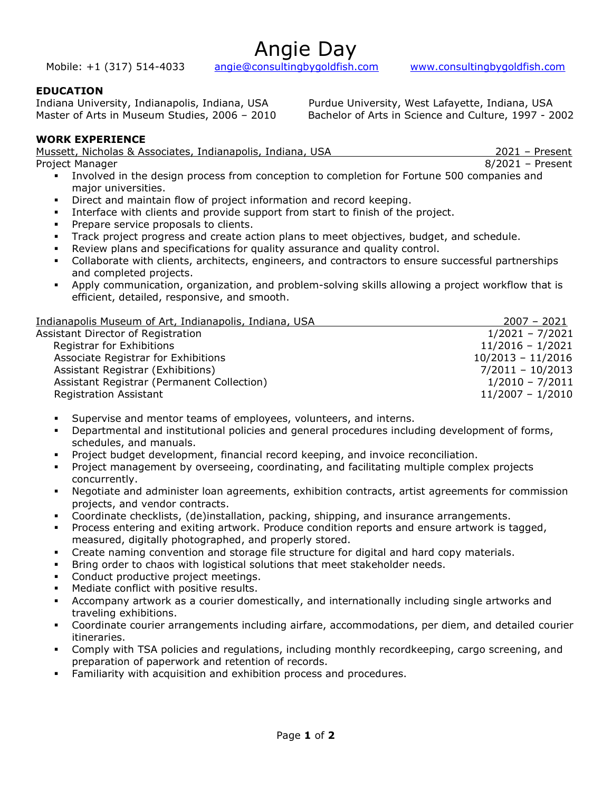Angie Day

Mobile: +1 (317) 514-4033 angie@consultingbygoldfish.com www.consultingbygoldfish.com

# EDUCATION

Indiana University, Indianapolis, Indiana, USA Purdue University, West Lafayette, Indiana, USA Master of Arts in Museum Studies, 2006 – 2010 Bachelor of Arts in Science and Culture, 1997 - 2002

# WORK EXPERIENCE

| Mussett, Nicholas & Associates, Indianapolis, Indiana, USA |  |  |      | $2021$ – Present |
|------------------------------------------------------------|--|--|------|------------------|
| Project Manager                                            |  |  |      | 8/2021 - Present |
|                                                            |  |  | $ -$ |                  |

- Involved in the design process from conception to completion for Fortune 500 companies and major universities.
- Direct and maintain flow of project information and record keeping.
- Interface with clients and provide support from start to finish of the project.
- Prepare service proposals to clients.
- Track project progress and create action plans to meet objectives, budget, and schedule.
- Review plans and specifications for quality assurance and quality control.
- Collaborate with clients, architects, engineers, and contractors to ensure successful partnerships and completed projects.
- Apply communication, organization, and problem-solving skills allowing a project workflow that is efficient, detailed, responsive, and smooth.

| Indianapolis Museum of Art, Indianapolis, Indiana, USA | $2007 - 2021$       |
|--------------------------------------------------------|---------------------|
| Assistant Director of Registration                     | $1/2021 - 7/2021$   |
| Registrar for Exhibitions                              | $11/2016 - 1/2021$  |
| Associate Registrar for Exhibitions                    | $10/2013 - 11/2016$ |
| Assistant Registrar (Exhibitions)                      | $7/2011 - 10/2013$  |
| Assistant Registrar (Permanent Collection)             | $1/2010 - 7/2011$   |
| <b>Registration Assistant</b>                          | $11/2007 - 1/2010$  |

- Supervise and mentor teams of employees, volunteers, and interns.
- Departmental and institutional policies and general procedures including development of forms, schedules, and manuals.
- Project budget development, financial record keeping, and invoice reconciliation.
- Project management by overseeing, coordinating, and facilitating multiple complex projects concurrently.
- Negotiate and administer loan agreements, exhibition contracts, artist agreements for commission projects, and vendor contracts.
- Coordinate checklists, (de)installation, packing, shipping, and insurance arrangements.
- Process entering and exiting artwork. Produce condition reports and ensure artwork is tagged, measured, digitally photographed, and properly stored.
- Create naming convention and storage file structure for digital and hard copy materials.
- Bring order to chaos with logistical solutions that meet stakeholder needs.
- Conduct productive project meetings.
- Mediate conflict with positive results.
- Accompany artwork as a courier domestically, and internationally including single artworks and traveling exhibitions.
- Coordinate courier arrangements including airfare, accommodations, per diem, and detailed courier itineraries.
- Comply with TSA policies and regulations, including monthly recordkeeping, cargo screening, and preparation of paperwork and retention of records.
- Familiarity with acquisition and exhibition process and procedures.